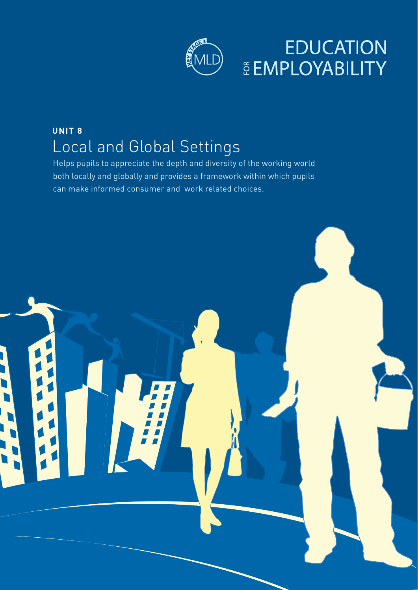

## **EDUCATION ČEMPLOYABILITY**

## **UNIT 8** Local and Global Settings

Helps pupils to appreciate the depth and diversity of the working world both locally and globally and provides a framework within which pupils can make informed consumer and work related choices.